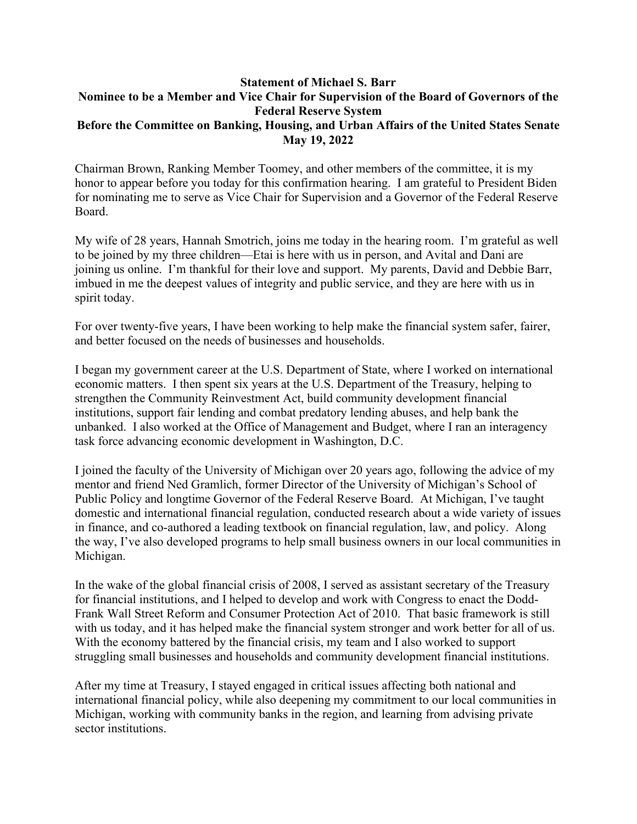## **Statement of Michael S. Barr Nominee to be a Member and Vice Chair for Supervision of the Board of Governors of the Federal Reserve System Before the Committee on Banking, Housing, and Urban Affairs of the United States Senate May 19, 2022**

Chairman Brown, Ranking Member Toomey, and other members of the committee, it is my honor to appear before you today for this confirmation hearing. I am grateful to President Biden for nominating me to serve as Vice Chair for Supervision and a Governor of the Federal Reserve Board.

My wife of 28 years, Hannah Smotrich, joins me today in the hearing room. I'm grateful as well to be joined by my three children—Etai is here with us in person, and Avital and Dani are joining us online. I'm thankful for their love and support. My parents, David and Debbie Barr, imbued in me the deepest values of integrity and public service, and they are here with us in spirit today.

For over twenty-five years, I have been working to help make the financial system safer, fairer, and better focused on the needs of businesses and households.

I began my government career at the U.S. Department of State, where I worked on international economic matters. I then spent six years at the U.S. Department of the Treasury, helping to strengthen the Community Reinvestment Act, build community development financial institutions, support fair lending and combat predatory lending abuses, and help bank the unbanked. I also worked at the Office of Management and Budget, where I ran an interagency task force advancing economic development in Washington, D.C.

I joined the faculty of the University of Michigan over 20 years ago, following the advice of my mentor and friend Ned Gramlich, former Director of the University of Michigan's School of Public Policy and longtime Governor of the Federal Reserve Board. At Michigan, I've taught domestic and international financial regulation, conducted research about a wide variety of issues in finance, and co-authored a leading textbook on financial regulation, law, and policy. Along the way, I've also developed programs to help small business owners in our local communities in Michigan.

In the wake of the global financial crisis of 2008, I served as assistant secretary of the Treasury for financial institutions, and I helped to develop and work with Congress to enact the Dodd-Frank Wall Street Reform and Consumer Protection Act of 2010. That basic framework is still with us today, and it has helped make the financial system stronger and work better for all of us. With the economy battered by the financial crisis, my team and I also worked to support struggling small businesses and households and community development financial institutions.

After my time at Treasury, I stayed engaged in critical issues affecting both national and international financial policy, while also deepening my commitment to our local communities in Michigan, working with community banks in the region, and learning from advising private sector institutions.